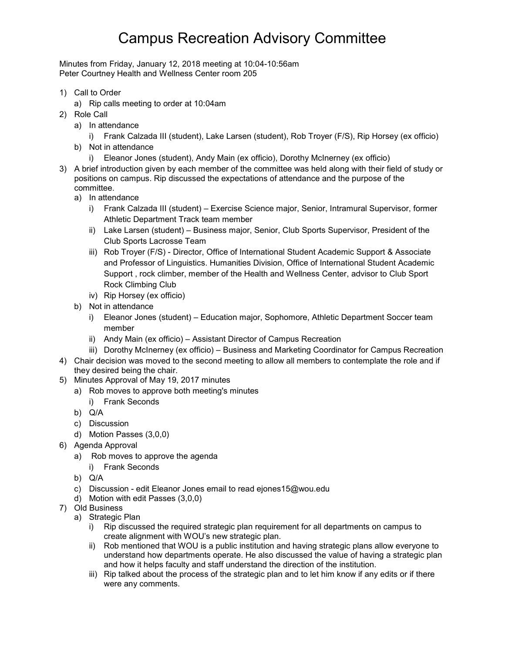## Campus Recreation Advisory Committee

Minutes from Friday, January 12, 2018 meeting at 10:04-10:56am Peter Courtney Health and Wellness Center room 205

- 1) Call to Order
	- a) Rip calls meeting to order at 10:04am
- 2) Role Call
	- a) In attendance
		- i) Frank Calzada III (student), Lake Larsen (student), Rob Troyer (F/S), Rip Horsey (ex officio)
	- b) Not in attendance
		- i) Eleanor Jones (student), Andy Main (ex officio), Dorothy McInerney (ex officio)
- 3) A brief introduction given by each member of the committee was held along with their field of study or positions on campus. Rip discussed the expectations of attendance and the purpose of the committee.
	- a) In attendance
		- i) Frank Calzada III (student) Exercise Science major, Senior, Intramural Supervisor, former Athletic Department Track team member
		- ii) Lake Larsen (student) Business major, Senior, Club Sports Supervisor, President of the Club Sports Lacrosse Team
		- iii) Rob Troyer (F/S) Director, Office of International Student Academic Support & Associate and Professor of Linguistics. Humanities Division, Office of International Student Academic Support , rock climber, member of the Health and Wellness Center, advisor to Club Sport Rock Climbing Club
		- iv) Rip Horsey (ex officio)
	- b) Not in attendance
		- i) Eleanor Jones (student) Education major, Sophomore, Athletic Department Soccer team member
		- ii) Andy Main (ex officio) Assistant Director of Campus Recreation
		- iii) Dorothy McInerney (ex officio) Business and Marketing Coordinator for Campus Recreation
- 4) Chair decision was moved to the second meeting to allow all members to contemplate the role and if they desired being the chair.
- 5) Minutes Approval of May 19, 2017 minutes
	- a) Rob moves to approve both meeting's minutes
		- i) Frank Seconds
	- b) Q/A
	- c) Discussion
	- d) Motion Passes (3,0,0)
- 6) Agenda Approval
	- a) Rob moves to approve the agenda
		- i) Frank Seconds
	- b) Q/A
	- c) Discussion edit Eleanor Jones email to read ejones15@wou.edu
	- d) Motion with edit Passes (3,0,0)
- 7) Old Business
	- a) Strategic Plan
		- i) Rip discussed the required strategic plan requirement for all departments on campus to create alignment with WOU's new strategic plan.
		- ii) Rob mentioned that WOU is a public institution and having strategic plans allow everyone to understand how departments operate. He also discussed the value of having a strategic plan and how it helps faculty and staff understand the direction of the institution.
		- iii) Rip talked about the process of the strategic plan and to let him know if any edits or if there were any comments.